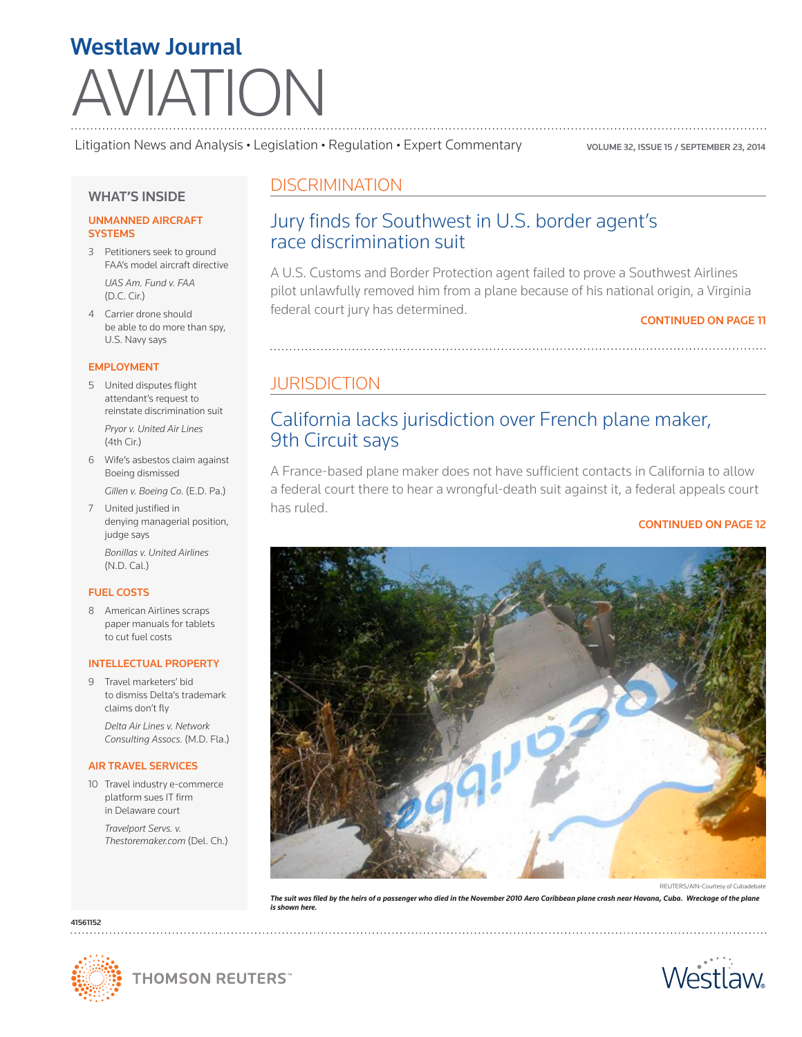# AVIATION Westlaw Journal

Litigation News and Analysis • Legislation • Regulation • Expert Commentary

VOLUME 32, ISSUE 15 / SEPTEMBER 23, 2014

## WHAT'S INSIDE

#### UNMANNED AIRCRAFT **SYSTEMS**

- 3 Petitioners seek to ground FAA's model aircraft directive *UAS Am. Fund v. FAA* (D.C. Cir.)
- 4 Carrier drone should be able to do more than spy, U.S. Navy says

### EMPLOYMENT

5 United disputes flight attendant's request to reinstate discrimination suit

*Pryor v. United Air Lines* (4th Cir.)

6 Wife's asbestos claim against Boeing dismissed

*Gillen v. Boeing Co.* (E.D. Pa.)

7 United justified in denying managerial position, judge says *Bonillas v. United Airlines* (N.D. Cal.)

## FUEL COSTS

8 American Airlines scraps paper manuals for tablets to cut fuel costs

## INTELLECTUAL PROPERTY

9 Travel marketers' bid to dismiss Delta's trademark claims don't fly

> *Delta Air Lines v. Network Consulting Assocs.* (M.D. Fla.)

#### AIR TRAVEL SERVICES

10 Travel industry e-commerce platform sues IT firm in Delaware court

> *Travelport Servs. v. Thestoremaker.com* (Del. Ch.)

## **DISCRIMINATION**

## Jury finds for Southwest in U.S. border agent's race discrimination suit

A U.S. Customs and Border Protection agent failed to prove a Southwest Airlines pilot unlawfully removed him from a plane because of his national origin, a Virginia federal court jury has determined.

CONTINUED ON PAGE 11

## **JURISDICTION**

## California lacks jurisdiction over French plane maker, 9th Circuit says

A France-based plane maker does not have sufficient contacts in California to allow a federal court there to hear a wrongful-death suit against it, a federal appeals court has ruled.

## CONTINUED ON PAGE 12



*The suit was filed by the heirs of a passenger who died in the November 2010 Aero Caribbean plane crash near Havana, Cuba. Wreckage of the plane is shown here.*

41561152



**THOMSON REUTERS**